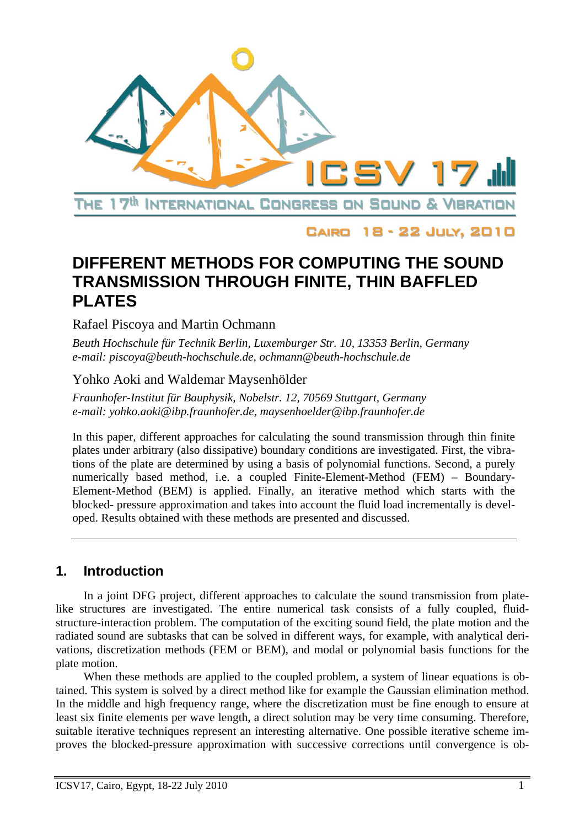

CAIRO 18 - 22 JULY, 2010

# **DIFFERENT METHODS FOR COMPUTING THE SOUND TRANSMISSION THROUGH FINITE, THIN BAFFLED PLATES**

## Rafael Piscoya and Martin Ochmann

*Beuth Hochschule für Technik Berlin, Luxemburger Str. 10, 13353 Berlin, Germany e-mail: piscoya@beuth-hochschule.de, ochmann@beuth-hochschule.de* 

## Yohko Aoki and Waldemar Maysenhölder

*Fraunhofer-Institut für Bauphysik, Nobelstr. 12, 70569 Stuttgart, Germany e-mail: yohko.aoki@ibp.fraunhofer.de, maysenhoelder@ibp.fraunhofer.de* 

In this paper, different approaches for calculating the sound transmission through thin finite plates under arbitrary (also dissipative) boundary conditions are investigated. First, the vibrations of the plate are determined by using a basis of polynomial functions. Second, a purely numerically based method, i.e. a coupled Finite-Element-Method (FEM) – Boundary-Element-Method (BEM) is applied. Finally, an iterative method which starts with the blocked- pressure approximation and takes into account the fluid load incrementally is developed. Results obtained with these methods are presented and discussed.

## **1. Introduction**

In a joint DFG project, different approaches to calculate the sound transmission from platelike structures are investigated. The entire numerical task consists of a fully coupled, fluidstructure-interaction problem. The computation of the exciting sound field, the plate motion and the radiated sound are subtasks that can be solved in different ways, for example, with analytical derivations, discretization methods (FEM or BEM), and modal or polynomial basis functions for the plate motion.

When these methods are applied to the coupled problem, a system of linear equations is obtained. This system is solved by a direct method like for example the Gaussian elimination method. In the middle and high frequency range, where the discretization must be fine enough to ensure at least six finite elements per wave length, a direct solution may be very time consuming. Therefore, suitable iterative techniques represent an interesting alternative. One possible iterative scheme improves the blocked-pressure approximation with successive corrections until convergence is ob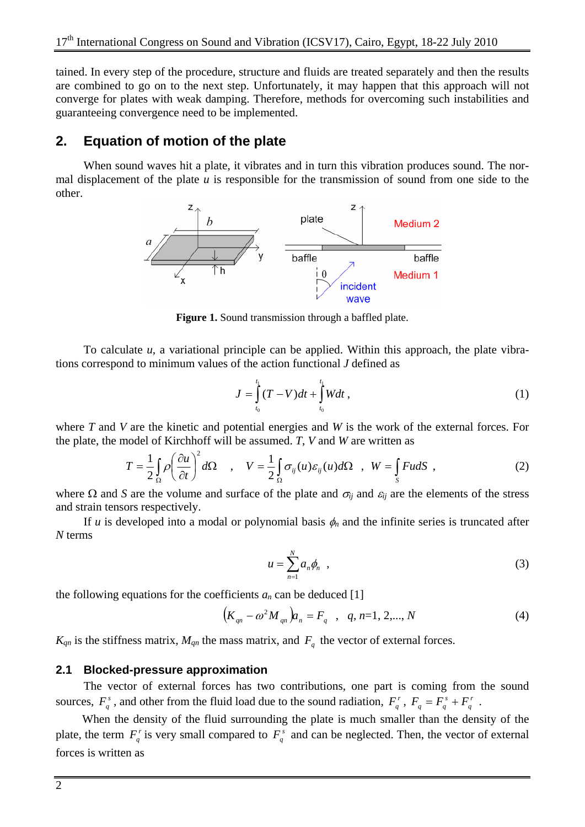tained. In every step of the procedure, structure and fluids are treated separately and then the results are combined to go on to the next step. Unfortunately, it may happen that this approach will not converge for plates with weak damping. Therefore, methods for overcoming such instabilities and guaranteeing convergence need to be implemented.

## **2. Equation of motion of the plate**

When sound waves hit a plate, it vibrates and in turn this vibration produces sound. The normal displacement of the plate *u* is responsible for the transmission of sound from one side to the other.



Figure 1. Sound transmission through a baffled plate.

To calculate *u*, a variational principle can be applied. Within this approach, the plate vibrations correspond to minimum values of the action functional *J* defined as

$$
J = \int_{t_0}^{t_1} (T - V) dt + \int_{t_0}^{t_1} W dt , \qquad (1)
$$

where *T* and *V* are the kinetic and potential energies and *W* is the work of the external forces. For the plate, the model of Kirchhoff will be assumed. *T*, *V* and *W* are written as

$$
T = \frac{1}{2} \int_{\Omega} \rho \left(\frac{\partial u}{\partial t}\right)^2 d\Omega \quad , \quad V = \frac{1}{2} \int_{\Omega} \sigma_{ij}(u) \varepsilon_{ij}(u) d\Omega \quad , \quad W = \int_{S} F u dS \quad , \tag{2}
$$

where  $\Omega$  and *S* are the volume and surface of the plate and  $\sigma_{ij}$  and  $\varepsilon_{ij}$  are the elements of the stress and strain tensors respectively.

If *u* is developed into a modal or polynomial basis  $\phi_n$  and the infinite series is truncated after *N* terms

$$
u = \sum_{n=1}^{N} a_n \phi_n \quad , \tag{3}
$$

the following equations for the coefficients  $a_n$  can be deduced [1]

$$
\left(K_{qn} - \omega^2 M_{qn}\right) a_n = F_q \quad , \quad q, n = 1, 2, ..., N \tag{4}
$$

 $K_{qn}$  is the stiffness matrix,  $M_{qn}$  the mass matrix, and  $F_q$  the vector of external forces.

### **2.1 Blocked-pressure approximation**

The vector of external forces has two contributions, one part is coming from the sound sources,  $F_q^s$ , and other from the fluid load due to the sound radiation,  $F_q^r$ ,  $F_q = F_q^s + F_q^r$ . *q*  $F_q = F_q^s + F$ 

When the density of the fluid surrounding the plate is much smaller than the density of the plate, the term  $F_q^r$  is very small compared to  $F_q^s$  and can be neglected. Then, the vector of external forces is written as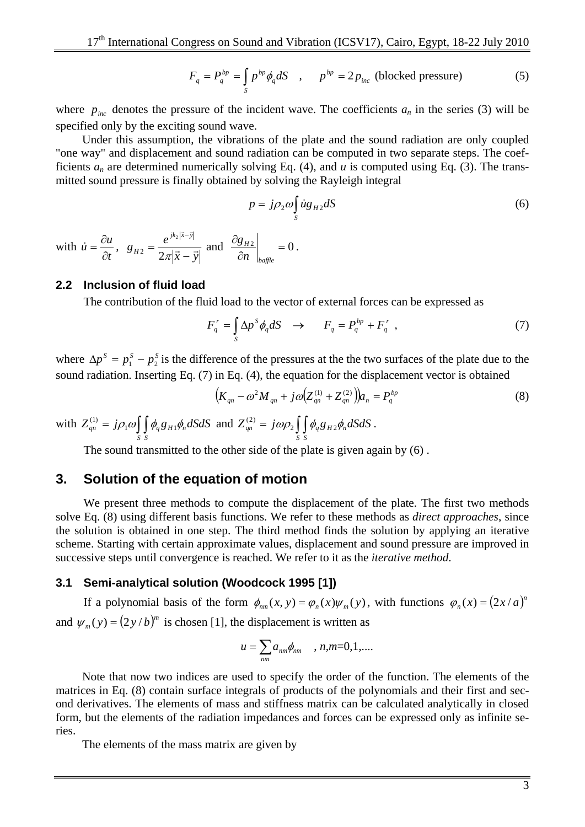$$
F_q = P_q^{bp} = \int_S p^{bp} \phi_q dS \quad , \qquad p^{bp} = 2p_{inc} \text{ (blocked pressure)} \tag{5}
$$

where  $p_{inc}$  denotes the pressure of the incident wave. The coefficients  $a_n$  in the series (3) will be specified only by the exciting sound wave.

Under this assumption, the vibrations of the plate and the sound radiation are only coupled "one way" and displacement and sound radiation can be computed in two separate steps. The coefficients  $a_n$  are determined numerically solving Eq. (4), and  $u$  is computed using Eq. (3). The transmitted sound pressure is finally obtained by solving the Rayleigh integral

$$
p = j\rho_2 \omega \int_s u g_{H2} dS \tag{6}
$$

with *t*  $\dot{u} = \frac{\partial u}{\partial x}$  $\dot{u} = \frac{\partial u}{\partial t}, \quad g_{H2} = \frac{e^{jk_2|x-y|}}{2\pi|\vec{x}-\vec{y}|}$  $jk_2|\vec{x}-\vec{y}$  $H_2 = \frac{1}{2\pi |\vec{x} - \vec{x}|}$  $\vec{r}$  $=\frac{e}{2\pi|\vec{x}-}$ −  $2\pi$  $\frac{e^{jk_2|x-y|}}{2\pi|\vec{x}-\vec{y}|}$  and  $\frac{\partial g_{H2}}{\partial n}\Big|_{h=0} = 0$ *baffle H n*  $\frac{g_{H2}}{2}$  = 0.

## **2.2 Inclusion of fluid load**

The contribution of the fluid load to the vector of external forces can be expressed as

$$
F_q^r = \int_S \Delta p^s \phi_q dS \quad \rightarrow \qquad F_q = P_q^{bp} + F_q^r \tag{7}
$$

where  $\Delta p^s = p_1^s - p_2^s$  is the difference of the pressures at the two surfaces of the plate due to the sound radiation. Inserting Eq. (7) in Eq. (4), the equation for the displacement vector is obtained

$$
\left(K_{qn} - \omega^2 M_{qn} + j\omega \left(Z_{qn}^{(1)} + Z_{qn}^{(2)}\right)\right) a_n = P_q^{bp} \tag{8}
$$

with 
$$
Z_{qn}^{(1)} = j\rho_1 \omega \int_S \int_S \phi_q g_{H1} \phi_n dS dS
$$
 and  $Z_{qn}^{(2)} = j\omega \rho_2 \int_S \int_S \phi_q g_{H2} \phi_n dS dS$ .

The sound transmitted to the other side of the plate is given again by (6) .

### **3. Solution of the equation of motion**

We present three methods to compute the displacement of the plate. The first two methods solve Eq. (8) using different basis functions. We refer to these methods as *direct approaches*, since the solution is obtained in one step. The third method finds the solution by applying an iterative scheme. Starting with certain approximate values, displacement and sound pressure are improved in successive steps until convergence is reached. We refer to it as the *iterative method*.

#### **3.1 Semi-analytical solution (Woodcock 1995 [1])**

If a polynomial basis of the form  $\phi_{nm}(x, y) = \phi_n(x)\psi_m(y)$ , with functions  $\phi_n(x) = (2x/a)^n$ and  $\psi_m(y) = (2y/b)^m$  is chosen [1], the displacement is written as

$$
u=\sum_{nm}a_{nm}\phi_{nm}\quad ,n,m=0,1,....
$$

Note that now two indices are used to specify the order of the function. The elements of the matrices in Eq. (8) contain surface integrals of products of the polynomials and their first and second derivatives. The elements of mass and stiffness matrix can be calculated analytically in closed form, but the elements of the radiation impedances and forces can be expressed only as infinite series.

The elements of the mass matrix are given by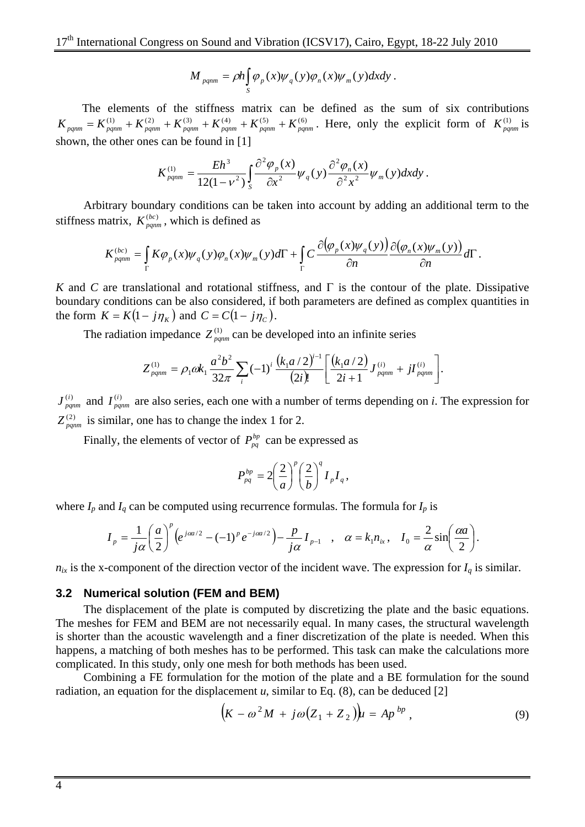$$
M_{pqnm} = \rho h \int_{S} \varphi_{p}(x) \psi_{q}(y) \varphi_{n}(x) \psi_{m}(y) dxdy.
$$

The elements of the stiffness matrix can be defined as the sum of six contributions  $K_{pqnm} = K_{pqnm}^{(1)} + K_{pqnm}^{(2)} + K_{pqnm}^{(3)} + K_{pqnm}^{(4)} + K_{pqnm}^{(5)} + K_{pqnm}^{(6)}$ . Here, only the explicit form of  $K_{pqnm}^{(1)}$  is shown, the other ones can be found in [1]

$$
K^{(1)}_{pqnm}=\frac{Eh^3}{12(1-\nu^2)}\int\limits_S\frac{\partial^2\varphi_p(x)}{\partial x^2}\psi_q(y)\frac{\partial^2\varphi_n(x)}{\partial^2x^2}\psi_m(y)dxdy.
$$

Arbitrary boundary conditions can be taken into account by adding an additional term to the stiffness matrix,  $K_{pqnm}^{(bc)}$ , which is defined as

$$
K_{pqnm}^{(bc)} = \int_{\Gamma} K \varphi_p(x) \psi_q(y) \varphi_n(x) \psi_m(y) d\Gamma + \int_{\Gamma} C \frac{\partial (\varphi_p(x) \psi_q(y))}{\partial n} \frac{\partial (\varphi_n(x) \psi_m(y))}{\partial n} d\Gamma.
$$

*K* and *C* are translational and rotational stiffness, and Γ is the contour of the plate. Dissipative boundary conditions can be also considered, if both parameters are defined as complex quantities in the form  $K = K(1 - j\eta_K)$  and  $C = C(1 - j\eta_C)$ .

The radiation impedance  $Z_{pqnm}^{(1)}$  can be developed into an infinite series

$$
Z_{pqnm}^{(1)} = \rho_1 \omega k_1 \frac{a^2 b^2}{32\pi} \sum_i (-1)^i \frac{(k_1 a/2)^{i-1}}{(2i)!} \left[ \frac{(k_1 a/2)}{2i+1} J_{pqnm}^{(i)} + j J_{pqnm}^{(i)} \right].
$$

 $J_{pqnm}^{(i)}$  and  $I_{pqnm}^{(i)}$  are also series, each one with a number of terms depending on *i*. The expression for  $Z_{p,qnm}^{(2)}$  is similar, one has to change the index 1 for 2.

Finally, the elements of vector of  $P_{pq}^{bp}$  can be expressed as

$$
P_{pq}^{bp} = 2\left(\frac{2}{a}\right)^p \left(\frac{2}{b}\right)^q I_p I_q,
$$

where  $I_p$  and  $I_q$  can be computed using recurrence formulas. The formula for  $I_p$  is

$$
I_p = \frac{1}{j\alpha} \left(\frac{a}{2}\right)^p \left(e^{j\alpha a/2} - (-1)^p e^{-j\alpha a/2}\right) - \frac{p}{j\alpha} I_{p-1} \quad , \quad \alpha = k_1 n_{ix}, \quad I_0 = \frac{2}{\alpha} \sin\left(\frac{\alpha a}{2}\right).
$$

 $n_{ix}$  is the x-component of the direction vector of the incident wave. The expression for  $I_q$  is similar.

#### **3.2 Numerical solution (FEM and BEM)**

The displacement of the plate is computed by discretizing the plate and the basic equations. The meshes for FEM and BEM are not necessarily equal. In many cases, the structural wavelength is shorter than the acoustic wavelength and a finer discretization of the plate is needed. When this happens, a matching of both meshes has to be performed. This task can make the calculations more complicated. In this study, only one mesh for both methods has been used.

Combining a FE formulation for the motion of the plate and a BE formulation for the sound radiation, an equation for the displacement  $u$ , similar to Eq.  $(8)$ , can be deduced  $[2]$ 

$$
\left(K - \omega^2 M + j\omega (Z_1 + Z_2)\right)u = Ap^{bp},\tag{9}
$$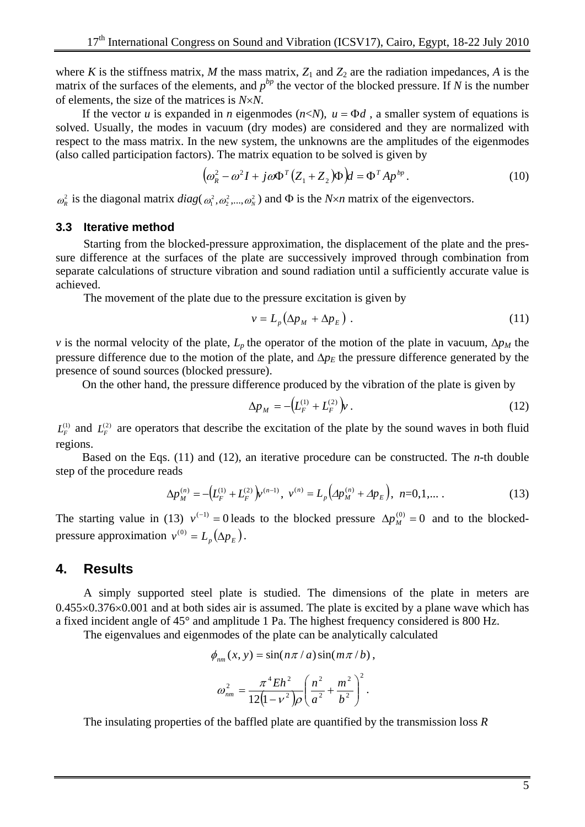where *K* is the stiffness matrix, *M* the mass matrix,  $Z_1$  and  $Z_2$  are the radiation impedances, *A* is the matrix of the surfaces of the elements, and  $p^{bp}$  the vector of the blocked pressure. If *N* is the number of elements, the size of the matrices is *N*×*N*.

If the vector *u* is expanded in *n* eigenmodes ( $n < N$ ),  $u = \Phi d$ , a smaller system of equations is solved. Usually, the modes in vacuum (dry modes) are considered and they are normalized with respect to the mass matrix. In the new system, the unknowns are the amplitudes of the eigenmodes (also called participation factors). The matrix equation to be solved is given by

$$
\left(\omega_R^2 - \omega^2 I + j\omega \Phi^T (Z_1 + Z_2) \Phi\right) d = \Phi^T A p^{bp}.
$$
 (10)

 $\omega_R^2$  is the diagonal matrix *diag*( $\omega_1^2, \omega_2^2, ..., \omega_N^2$ ) and  $\Phi$  is the *N*×*n* matrix of the eigenvectors.

## **3.3 Iterative method**

Starting from the blocked-pressure approximation, the displacement of the plate and the pressure difference at the surfaces of the plate are successively improved through combination from separate calculations of structure vibration and sound radiation until a sufficiently accurate value is achieved.

The movement of the plate due to the pressure excitation is given by

$$
v = L_p \left( \Delta p_M + \Delta p_E \right) \,. \tag{11}
$$

*v* is the normal velocity of the plate,  $L_p$  the operator of the motion of the plate in vacuum,  $\Delta p_M$  the pressure difference due to the motion of the plate, and  $\Delta p_E$  the pressure difference generated by the presence of sound sources (blocked pressure).

On the other hand, the pressure difference produced by the vibration of the plate is given by

$$
\Delta p_M = -\left(L_F^{(1)} + L_F^{(2)}\right)v. \tag{12}
$$

 $L_F^{(1)}$  and  $L_F^{(2)}$  are operators that describe the excitation of the plate by the sound waves in both fluid regions.

Based on the Eqs. (11) and (12), an iterative procedure can be constructed. The *n*-th double step of the procedure reads

$$
\Delta p_M^{(n)} = -\left(L_F^{(1)} + L_F^{(2)}\right)\nu^{(n-1)}, \ \nu^{(n)} = L_p\left(\Delta p_M^{(n)} + \Delta p_E\right), \ n = 0, 1, \dots \tag{13}
$$

The starting value in (13)  $v^{(-1)} = 0$  leads to the blocked pressure  $\Delta p_M^{(0)} = 0$  and to the blockedpressure approximation  $v^{(0)} = L_p(\Delta p_E)$ .

### **4. Results**

A simply supported steel plate is studied. The dimensions of the plate in meters are  $0.455\times0.376\times0.001$  and at both sides air is assumed. The plate is excited by a plane wave which has a fixed incident angle of 45° and amplitude 1 Pa. The highest frequency considered is 800 Hz.

The eigenvalues and eigenmodes of the plate can be analytically calculated

$$
\phi_{nm}(x, y) = \sin(n\pi/a)\sin(m\pi/b),
$$

$$
\omega_{nm}^2 = \frac{\pi^4 E h^2}{12(1 - v^2)\rho} \left(\frac{n^2}{a^2} + \frac{m^2}{b^2}\right)^2.
$$

The insulating properties of the baffled plate are quantified by the transmission loss *R*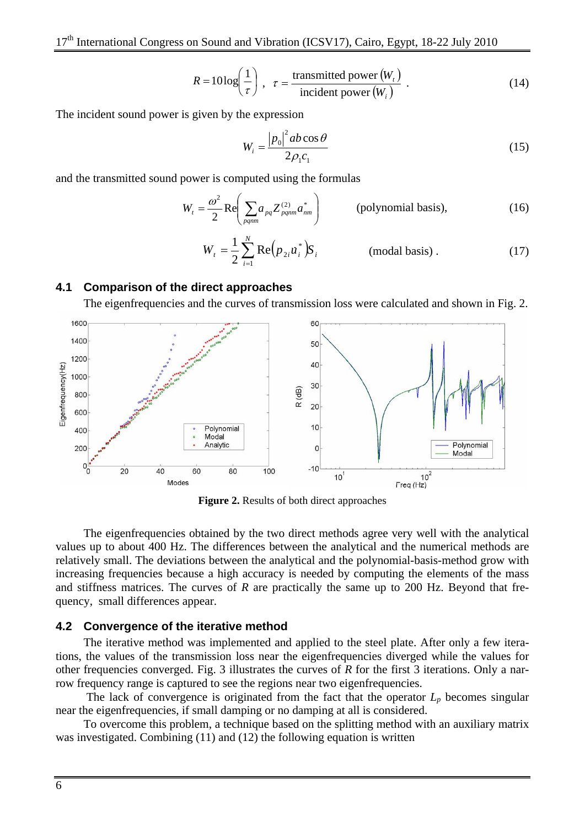$$
R = 10\log\left(\frac{1}{\tau}\right), \quad \tau = \frac{\text{transmitted power (Wt)}}{\text{incident power (Wi)}}.
$$
 (14)

The incident sound power is given by the expression

$$
W_i = \frac{|p_0|^2 ab \cos \theta}{2\rho_1 c_1} \tag{15}
$$

and the transmitted sound power is computed using the formulas

$$
W_{t} = \frac{\omega^{2}}{2} \operatorname{Re} \left( \sum_{pqnm} a_{pq} Z_{pqnm}^{(2)} a_{nm}^{*} \right) \qquad \text{(polynomial basis)}, \qquad (16)
$$

$$
W_{t} = \frac{1}{2} \sum_{i=1}^{N} \text{Re} \left( p_{2i} \dot{u}_{i}^{*} \right) S_{i} \qquad \qquad \text{(modal basis)} \,.
$$

### **4.1 Comparison of the direct approaches**

The eigenfrequencies and the curves of transmission loss were calculated and shown in Fig. 2.



**Figure 2.** Results of both direct approaches

The eigenfrequencies obtained by the two direct methods agree very well with the analytical values up to about 400 Hz. The differences between the analytical and the numerical methods are relatively small. The deviations between the analytical and the polynomial-basis-method grow with increasing frequencies because a high accuracy is needed by computing the elements of the mass and stiffness matrices. The curves of *R* are practically the same up to 200 Hz. Beyond that frequency, small differences appear.

#### **4.2 Convergence of the iterative method**

The iterative method was implemented and applied to the steel plate. After only a few iterations, the values of the transmission loss near the eigenfrequencies diverged while the values for other frequencies converged. Fig. 3 illustrates the curves of *R* for the first 3 iterations. Only a narrow frequency range is captured to see the regions near two eigenfrequencies.

The lack of convergence is originated from the fact that the operator  $L_p$  becomes singular near the eigenfrequencies, if small damping or no damping at all is considered.

To overcome this problem, a technique based on the splitting method with an auxiliary matrix was investigated. Combining (11) and (12) the following equation is written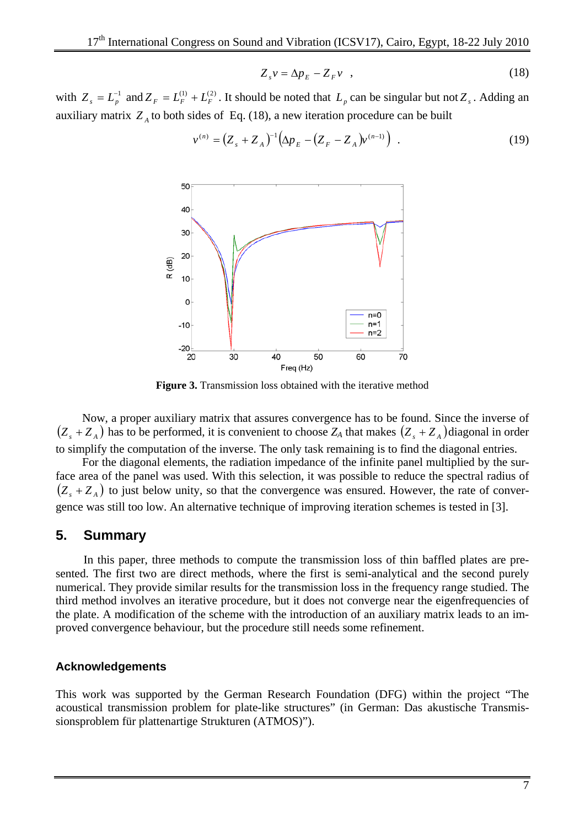$$
Z_s v = \Delta p_E - Z_F v \quad , \tag{18}
$$

with  $Z_s = L_p^{-1}$  and  $Z_F = L_F^{(1)} + L_F^{(2)}$ . It should be noted that  $L_p$  can be singular but not  $Z_s$ . Adding an auxiliary matrix  $Z_A$  to both sides of Eq. (18), a new iteration procedure can be built



 $v^{(n)} = (Z_s + Z_A)^{-1} (\Delta p_E - (Z_F - Z_A)v^{(n-1)})$  . (19)

**Figure 3.** Transmission loss obtained with the iterative method

Now, a proper auxiliary matrix that assures convergence has to be found. Since the inverse of  $(Z_s + Z_A)$  has to be performed, it is convenient to choose  $Z_A$  that makes  $(Z_s + Z_A)$  diagonal in order to simplify the computation of the inverse. The only task remaining is to find the diagonal entries.

For the diagonal elements, the radiation impedance of the infinite panel multiplied by the surface area of the panel was used. With this selection, it was possible to reduce the spectral radius of  $(Z_s + Z_A)$  to just below unity, so that the convergence was ensured. However, the rate of convergence was still too low. An alternative technique of improving iteration schemes is tested in [3].

## **5. Summary**

In this paper, three methods to compute the transmission loss of thin baffled plates are presented. The first two are direct methods, where the first is semi-analytical and the second purely numerical. They provide similar results for the transmission loss in the frequency range studied. The third method involves an iterative procedure, but it does not converge near the eigenfrequencies of the plate. A modification of the scheme with the introduction of an auxiliary matrix leads to an improved convergence behaviour, but the procedure still needs some refinement.

#### **Acknowledgements**

This work was supported by the German Research Foundation (DFG) within the project "The acoustical transmission problem for plate-like structures" (in German: Das akustische Transmissionsproblem für plattenartige Strukturen (ATMOS)").